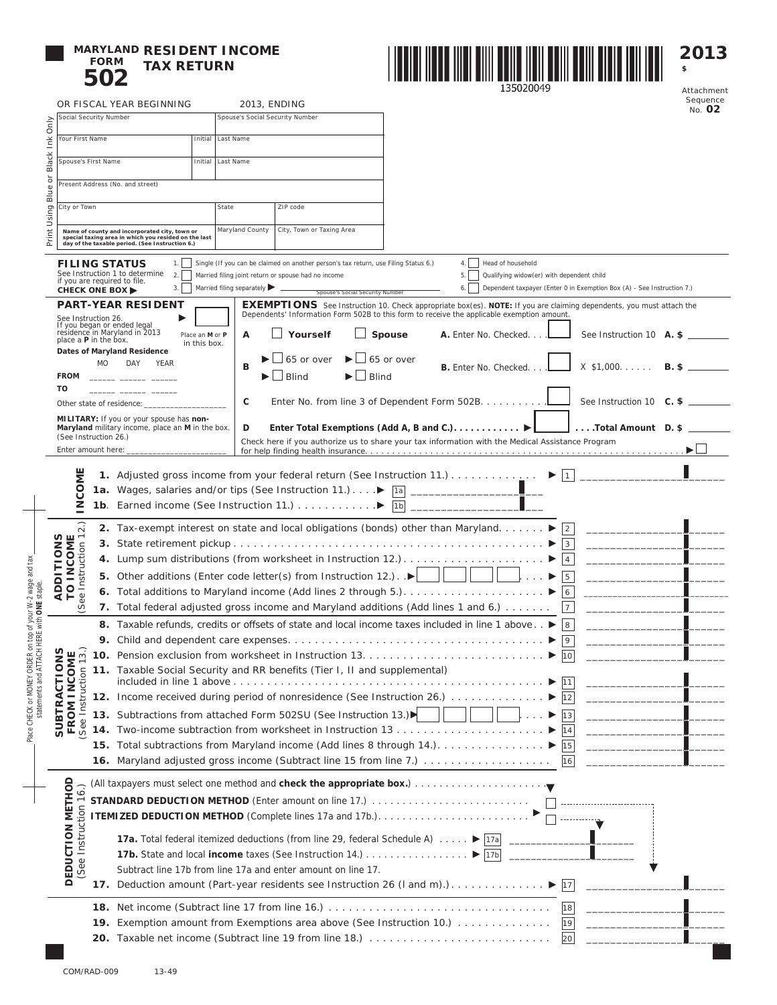## **MARYLAND RESIDENT INCOME FORM 502 TAX RETURN**



Attachment Sequence No. **02**

**2013 \$** 

|                                                                                                                  |                                                                                                                                                                                                                                                                                                                                                                                                                                                                                            |                        | OR FISCAL YEAR BEGINNING                                                                                                                                 |  | 2013, ENDING                                                                                                                          |                                                                                              | Sequence<br>No. 02                                                                                                                                                                                                                                                                                                                                                                                                                              |  |  |  |  |
|------------------------------------------------------------------------------------------------------------------|--------------------------------------------------------------------------------------------------------------------------------------------------------------------------------------------------------------------------------------------------------------------------------------------------------------------------------------------------------------------------------------------------------------------------------------------------------------------------------------------|------------------------|----------------------------------------------------------------------------------------------------------------------------------------------------------|--|---------------------------------------------------------------------------------------------------------------------------------------|----------------------------------------------------------------------------------------------|-------------------------------------------------------------------------------------------------------------------------------------------------------------------------------------------------------------------------------------------------------------------------------------------------------------------------------------------------------------------------------------------------------------------------------------------------|--|--|--|--|
| Only                                                                                                             |                                                                                                                                                                                                                                                                                                                                                                                                                                                                                            | Social Security Number |                                                                                                                                                          |  | Spouse's Social Security Number                                                                                                       |                                                                                              |                                                                                                                                                                                                                                                                                                                                                                                                                                                 |  |  |  |  |
| $\check{\underline{\epsilon}}$                                                                                   |                                                                                                                                                                                                                                                                                                                                                                                                                                                                                            | Your First Name        |                                                                                                                                                          |  | Initial Last Name                                                                                                                     |                                                                                              |                                                                                                                                                                                                                                                                                                                                                                                                                                                 |  |  |  |  |
| Black                                                                                                            | Spouse's First Name                                                                                                                                                                                                                                                                                                                                                                                                                                                                        |                        |                                                                                                                                                          |  | Initial Last Name                                                                                                                     |                                                                                              |                                                                                                                                                                                                                                                                                                                                                                                                                                                 |  |  |  |  |
| $\overline{\sigma}$                                                                                              |                                                                                                                                                                                                                                                                                                                                                                                                                                                                                            |                        |                                                                                                                                                          |  |                                                                                                                                       |                                                                                              |                                                                                                                                                                                                                                                                                                                                                                                                                                                 |  |  |  |  |
| Blue                                                                                                             |                                                                                                                                                                                                                                                                                                                                                                                                                                                                                            |                        | Present Address (No. and street)                                                                                                                         |  |                                                                                                                                       |                                                                                              |                                                                                                                                                                                                                                                                                                                                                                                                                                                 |  |  |  |  |
|                                                                                                                  |                                                                                                                                                                                                                                                                                                                                                                                                                                                                                            | City or Town<br>State  |                                                                                                                                                          |  |                                                                                                                                       | ZIP code                                                                                     |                                                                                                                                                                                                                                                                                                                                                                                                                                                 |  |  |  |  |
|                                                                                                                  | Using                                                                                                                                                                                                                                                                                                                                                                                                                                                                                      |                        |                                                                                                                                                          |  | Maryland County                                                                                                                       | City, Town or Taxing Area                                                                    |                                                                                                                                                                                                                                                                                                                                                                                                                                                 |  |  |  |  |
| Print                                                                                                            |                                                                                                                                                                                                                                                                                                                                                                                                                                                                                            |                        | Name of county and incorporated city, town or<br>special taxing area in which you resided on the last<br>day of the taxable period. (See Instruction 6.) |  |                                                                                                                                       |                                                                                              |                                                                                                                                                                                                                                                                                                                                                                                                                                                 |  |  |  |  |
|                                                                                                                  | <b>FILING STATUS</b><br>Single (If you can be claimed on another person's tax return, use Filing Status 6.)<br>Head of household<br>1.<br>4.1<br>See Instruction 1 to determine<br>2.1<br>Married filing joint return or spouse had no income<br>5.<br>Qualifying widow(er) with dependent child<br>if you are required to file.<br>Married filing separately $\blacktriangleright$<br>3.<br>6.<br>Dependent taxpayer (Enter 0 in Exemption Box (A) - See Instruction 7.)<br>CHECK ONE BOX |                        |                                                                                                                                                          |  |                                                                                                                                       |                                                                                              |                                                                                                                                                                                                                                                                                                                                                                                                                                                 |  |  |  |  |
|                                                                                                                  |                                                                                                                                                                                                                                                                                                                                                                                                                                                                                            |                        | <b>PART-YEAR RESIDENT</b>                                                                                                                                |  |                                                                                                                                       | Spouse's Social Security Number                                                              | <b>EXEMPTIONS</b> See Instruction 10. Check appropriate box(es). NOTE: If you are claiming dependents, you must attach the                                                                                                                                                                                                                                                                                                                      |  |  |  |  |
|                                                                                                                  | See Instruction 26.                                                                                                                                                                                                                                                                                                                                                                                                                                                                        |                        | If you began or ended legal                                                                                                                              |  |                                                                                                                                       | Dependents' Information Form 502B to this form to receive the applicable exemption amount.   |                                                                                                                                                                                                                                                                                                                                                                                                                                                 |  |  |  |  |
|                                                                                                                  | place a <b>P</b> in the box.                                                                                                                                                                                                                                                                                                                                                                                                                                                               |                        | residence in Maryland in 2013<br>Place an M or P<br>in this box.                                                                                         |  | A                                                                                                                                     | Yourself                                                                                     | Spouse<br>A. Enter No. Checked<br>See Instruction 10 A. \$                                                                                                                                                                                                                                                                                                                                                                                      |  |  |  |  |
|                                                                                                                  |                                                                                                                                                                                                                                                                                                                                                                                                                                                                                            |                        | Dates of Maryland Residence                                                                                                                              |  |                                                                                                                                       | 65 or over                                                                                   | 65 or over                                                                                                                                                                                                                                                                                                                                                                                                                                      |  |  |  |  |
|                                                                                                                  | <b>FROM</b>                                                                                                                                                                                                                                                                                                                                                                                                                                                                                | MO                     | DAY<br>YEAR                                                                                                                                              |  | B                                                                                                                                     | ⊿ Blind                                                                                      | $X$ \$1,000.<br>$B.$ \$<br><b>B.</b> Enter No. Checked<br>$\Box$ Blind                                                                                                                                                                                                                                                                                                                                                                          |  |  |  |  |
|                                                                                                                  | TO                                                                                                                                                                                                                                                                                                                                                                                                                                                                                         |                        |                                                                                                                                                          |  |                                                                                                                                       |                                                                                              |                                                                                                                                                                                                                                                                                                                                                                                                                                                 |  |  |  |  |
|                                                                                                                  |                                                                                                                                                                                                                                                                                                                                                                                                                                                                                            |                        | Other state of residence:                                                                                                                                |  | c                                                                                                                                     |                                                                                              | Enter No. from line 3 of Dependent Form 502B.<br>See Instruction 10 $C.$ \$                                                                                                                                                                                                                                                                                                                                                                     |  |  |  |  |
|                                                                                                                  |                                                                                                                                                                                                                                                                                                                                                                                                                                                                                            |                        | MILITARY: If you or your spouse has non-<br>Maryland military income, place an M in the box.                                                             |  | D                                                                                                                                     |                                                                                              | Enter Total Exemptions (Add A, B and C.). $\blacktriangleright$<br>JTotal Amount D. \$                                                                                                                                                                                                                                                                                                                                                          |  |  |  |  |
|                                                                                                                  | (See Instruction 26.)                                                                                                                                                                                                                                                                                                                                                                                                                                                                      |                        |                                                                                                                                                          |  |                                                                                                                                       |                                                                                              | Check here if you authorize us to share your tax information with the Medical Assistance Program                                                                                                                                                                                                                                                                                                                                                |  |  |  |  |
|                                                                                                                  | Enter amount here:                                                                                                                                                                                                                                                                                                                                                                                                                                                                         |                        |                                                                                                                                                          |  |                                                                                                                                       |                                                                                              |                                                                                                                                                                                                                                                                                                                                                                                                                                                 |  |  |  |  |
|                                                                                                                  |                                                                                                                                                                                                                                                                                                                                                                                                                                                                                            |                        |                                                                                                                                                          |  |                                                                                                                                       |                                                                                              | <b>1.</b> Adjusted gross income from your federal return (See Instruction 11.)<br>$\blacktriangleright$<br>1                                                                                                                                                                                                                                                                                                                                    |  |  |  |  |
|                                                                                                                  | NCOME                                                                                                                                                                                                                                                                                                                                                                                                                                                                                      |                        |                                                                                                                                                          |  |                                                                                                                                       | 1a. Wages, salaries and/or tips (See Instruction 11.) > 1a                                   | $\frac{1}{\sqrt{1-\frac{1}{2}}\left(1-\frac{1}{2}\right)}=\frac{1}{\sqrt{1-\frac{1}{2}}\left(1-\frac{1}{2}\right)}=\frac{1}{\sqrt{1-\frac{1}{2}}\left(1-\frac{1}{2}\right)}=\frac{1}{\sqrt{1-\frac{1}{2}}\left(1-\frac{1}{2}\right)}=\frac{1}{\sqrt{1-\frac{1}{2}}\left(1-\frac{1}{2}\right)}=\frac{1}{\sqrt{1-\frac{1}{2}}\left(1-\frac{1}{2}\right)}=\frac{1}{\sqrt{1-\frac{1}{2}}\left(1-\frac{1}{2}\right)}=\frac{1}{\sqrt{1-\frac{1}{2}}\$ |  |  |  |  |
|                                                                                                                  |                                                                                                                                                                                                                                                                                                                                                                                                                                                                                            |                        |                                                                                                                                                          |  |                                                                                                                                       |                                                                                              | 1 <sub>b</sub>                                                                                                                                                                                                                                                                                                                                                                                                                                  |  |  |  |  |
|                                                                                                                  | $\overline{2}$ .                                                                                                                                                                                                                                                                                                                                                                                                                                                                           |                        |                                                                                                                                                          |  |                                                                                                                                       |                                                                                              | 2. Tax-exempt interest on state and local obligations (bonds) other than Maryland. ▶<br>2                                                                                                                                                                                                                                                                                                                                                       |  |  |  |  |
|                                                                                                                  |                                                                                                                                                                                                                                                                                                                                                                                                                                                                                            |                        | 3 <sup>1</sup>                                                                                                                                           |  |                                                                                                                                       |                                                                                              |                                                                                                                                                                                                                                                                                                                                                                                                                                                 |  |  |  |  |
|                                                                                                                  | <b>ADDITIONS</b><br><b>INCOME</b>                                                                                                                                                                                                                                                                                                                                                                                                                                                          |                        |                                                                                                                                                          |  |                                                                                                                                       |                                                                                              | 4. Lump sum distributions (from worksheet in Instruction 12.)<br>$\overline{4}$                                                                                                                                                                                                                                                                                                                                                                 |  |  |  |  |
|                                                                                                                  |                                                                                                                                                                                                                                                                                                                                                                                                                                                                                            |                        |                                                                                                                                                          |  |                                                                                                                                       | <b>5.</b> Other additions (Enter code letter(s) from Instruction 12.). $\blacktriangleright$ | $\  \cdot \ $ $\blacktriangleright$<br>5                                                                                                                                                                                                                                                                                                                                                                                                        |  |  |  |  |
|                                                                                                                  | ee Instruction<br>$\circ$<br>⊢                                                                                                                                                                                                                                                                                                                                                                                                                                                             |                        | $\epsilon$                                                                                                                                               |  |                                                                                                                                       |                                                                                              |                                                                                                                                                                                                                                                                                                                                                                                                                                                 |  |  |  |  |
|                                                                                                                  | Ŏ.                                                                                                                                                                                                                                                                                                                                                                                                                                                                                         |                        | 7. Total federal adjusted gross income and Maryland additions (Add lines 1 and 6.)<br>$\overline{7}$                                                     |  |                                                                                                                                       |                                                                                              |                                                                                                                                                                                                                                                                                                                                                                                                                                                 |  |  |  |  |
| Place CHECK or MONEY ORDER on top of your W-2 wage and tax<br>statements and ATTACH HERE with <b>ONE</b> staple. |                                                                                                                                                                                                                                                                                                                                                                                                                                                                                            |                        | 8. Taxable refunds, credits or offsets of state and local income taxes included in line 1 above ▶<br>8                                                   |  |                                                                                                                                       |                                                                                              |                                                                                                                                                                                                                                                                                                                                                                                                                                                 |  |  |  |  |
|                                                                                                                  |                                                                                                                                                                                                                                                                                                                                                                                                                                                                                            |                        | 9                                                                                                                                                        |  |                                                                                                                                       |                                                                                              |                                                                                                                                                                                                                                                                                                                                                                                                                                                 |  |  |  |  |
|                                                                                                                  | S<br>$\equiv$ $\frac{1}{2}$<br>0                                                                                                                                                                                                                                                                                                                                                                                                                                                           |                        | 10<br>11. Taxable Social Security and RR benefits (Tier I, II and supplemental)                                                                          |  |                                                                                                                                       |                                                                                              |                                                                                                                                                                                                                                                                                                                                                                                                                                                 |  |  |  |  |
|                                                                                                                  | <b>INCO</b><br>truction<br>5                                                                                                                                                                                                                                                                                                                                                                                                                                                               |                        | included in line 1 above.                                                                                                                                |  |                                                                                                                                       |                                                                                              |                                                                                                                                                                                                                                                                                                                                                                                                                                                 |  |  |  |  |
|                                                                                                                  | ⋖                                                                                                                                                                                                                                                                                                                                                                                                                                                                                          |                        |                                                                                                                                                          |  |                                                                                                                                       |                                                                                              | 12. Income received during period of nonresidence (See Instruction 26.)<br>12                                                                                                                                                                                                                                                                                                                                                                   |  |  |  |  |
|                                                                                                                  | <b>SUBTR</b><br>FROM<br>드                                                                                                                                                                                                                                                                                                                                                                                                                                                                  |                        |                                                                                                                                                          |  |                                                                                                                                       | 13. Subtractions from attached Form 502SU (See Instruction 13.)                              | 13<br>$\mathbf{L}$ $\mathbf{P}$                                                                                                                                                                                                                                                                                                                                                                                                                 |  |  |  |  |
|                                                                                                                  | See                                                                                                                                                                                                                                                                                                                                                                                                                                                                                        |                        | 14                                                                                                                                                       |  |                                                                                                                                       |                                                                                              |                                                                                                                                                                                                                                                                                                                                                                                                                                                 |  |  |  |  |
|                                                                                                                  |                                                                                                                                                                                                                                                                                                                                                                                                                                                                                            |                        |                                                                                                                                                          |  |                                                                                                                                       |                                                                                              | 15. Total subtractions from Maryland income (Add lines 8 through 14.). ▶<br> 15                                                                                                                                                                                                                                                                                                                                                                 |  |  |  |  |
|                                                                                                                  |                                                                                                                                                                                                                                                                                                                                                                                                                                                                                            |                        |                                                                                                                                                          |  |                                                                                                                                       |                                                                                              | 16                                                                                                                                                                                                                                                                                                                                                                                                                                              |  |  |  |  |
|                                                                                                                  |                                                                                                                                                                                                                                                                                                                                                                                                                                                                                            |                        |                                                                                                                                                          |  |                                                                                                                                       |                                                                                              |                                                                                                                                                                                                                                                                                                                                                                                                                                                 |  |  |  |  |
|                                                                                                                  |                                                                                                                                                                                                                                                                                                                                                                                                                                                                                            |                        |                                                                                                                                                          |  |                                                                                                                                       |                                                                                              | <b>STANDARD DEDUCTION METHOD</b> (Enter amount on line 17.)                                                                                                                                                                                                                                                                                                                                                                                     |  |  |  |  |
|                                                                                                                  |                                                                                                                                                                                                                                                                                                                                                                                                                                                                                            |                        |                                                                                                                                                          |  |                                                                                                                                       |                                                                                              |                                                                                                                                                                                                                                                                                                                                                                                                                                                 |  |  |  |  |
|                                                                                                                  | DEDUCTION METHOD<br>See Instruction 16.)                                                                                                                                                                                                                                                                                                                                                                                                                                                   |                        |                                                                                                                                                          |  | <b>17a.</b> Total federal itemized deductions (from line 29, federal Schedule A) $\ldots$ $\blacktriangleright$ $\boxed{17a}$ _______ |                                                                                              |                                                                                                                                                                                                                                                                                                                                                                                                                                                 |  |  |  |  |
|                                                                                                                  |                                                                                                                                                                                                                                                                                                                                                                                                                                                                                            |                        |                                                                                                                                                          |  |                                                                                                                                       |                                                                                              |                                                                                                                                                                                                                                                                                                                                                                                                                                                 |  |  |  |  |
|                                                                                                                  |                                                                                                                                                                                                                                                                                                                                                                                                                                                                                            |                        | Subtract line 17b from line 17a and enter amount on line 17.                                                                                             |  |                                                                                                                                       |                                                                                              |                                                                                                                                                                                                                                                                                                                                                                                                                                                 |  |  |  |  |
|                                                                                                                  |                                                                                                                                                                                                                                                                                                                                                                                                                                                                                            |                        |                                                                                                                                                          |  |                                                                                                                                       |                                                                                              | 17                                                                                                                                                                                                                                                                                                                                                                                                                                              |  |  |  |  |
|                                                                                                                  |                                                                                                                                                                                                                                                                                                                                                                                                                                                                                            |                        |                                                                                                                                                          |  |                                                                                                                                       |                                                                                              | 18                                                                                                                                                                                                                                                                                                                                                                                                                                              |  |  |  |  |
|                                                                                                                  |                                                                                                                                                                                                                                                                                                                                                                                                                                                                                            |                        |                                                                                                                                                          |  |                                                                                                                                       |                                                                                              | 19. Exemption amount from Exemptions area above (See Instruction 10.)<br>19                                                                                                                                                                                                                                                                                                                                                                     |  |  |  |  |
|                                                                                                                  |                                                                                                                                                                                                                                                                                                                                                                                                                                                                                            |                        |                                                                                                                                                          |  |                                                                                                                                       |                                                                                              | 20. Taxable net income (Subtract line 19 from line 18.)<br>20                                                                                                                                                                                                                                                                                                                                                                                   |  |  |  |  |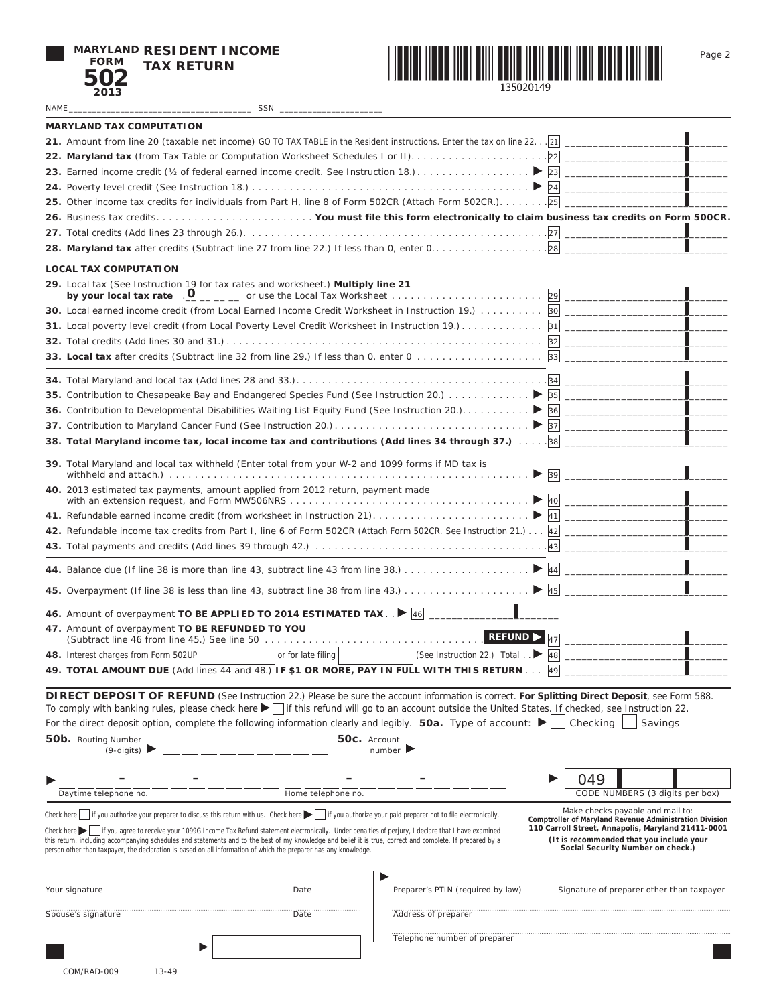|             | <b>MARYLAND RESIDENT INCOME</b> |
|-------------|---------------------------------|
| <b>FORM</b> | <b>TAX RETURN</b>               |
| 502         |                                 |
| 2012        |                                 |



Page 2

| 2013                                                                                                                                                                                                                                                                                                                                                                                                                                                            |                    |                                             |                                                                                                                                                                                                |
|-----------------------------------------------------------------------------------------------------------------------------------------------------------------------------------------------------------------------------------------------------------------------------------------------------------------------------------------------------------------------------------------------------------------------------------------------------------------|--------------------|---------------------------------------------|------------------------------------------------------------------------------------------------------------------------------------------------------------------------------------------------|
| NAME                                                                                                                                                                                                                                                                                                                                                                                                                                                            | SSN                |                                             |                                                                                                                                                                                                |
| <b>MARYLAND TAX COMPUTATION</b>                                                                                                                                                                                                                                                                                                                                                                                                                                 |                    |                                             |                                                                                                                                                                                                |
| 21. Amount from line 20 (taxable net income) GO TO TAX TABLE in the Resident instructions. Enter the tax on line 22. . 21                                                                                                                                                                                                                                                                                                                                       |                    |                                             |                                                                                                                                                                                                |
|                                                                                                                                                                                                                                                                                                                                                                                                                                                                 |                    |                                             |                                                                                                                                                                                                |
|                                                                                                                                                                                                                                                                                                                                                                                                                                                                 |                    |                                             |                                                                                                                                                                                                |
|                                                                                                                                                                                                                                                                                                                                                                                                                                                                 |                    |                                             |                                                                                                                                                                                                |
| 25. Other income tax credits for individuals from Part H, line 8 of Form 502CR (Attach Form 502CR.). 25                                                                                                                                                                                                                                                                                                                                                         |                    |                                             |                                                                                                                                                                                                |
|                                                                                                                                                                                                                                                                                                                                                                                                                                                                 |                    |                                             |                                                                                                                                                                                                |
|                                                                                                                                                                                                                                                                                                                                                                                                                                                                 |                    |                                             |                                                                                                                                                                                                |
|                                                                                                                                                                                                                                                                                                                                                                                                                                                                 |                    |                                             |                                                                                                                                                                                                |
|                                                                                                                                                                                                                                                                                                                                                                                                                                                                 |                    |                                             |                                                                                                                                                                                                |
| <b>LOCAL TAX COMPUTATION</b>                                                                                                                                                                                                                                                                                                                                                                                                                                    |                    |                                             |                                                                                                                                                                                                |
| 29. Local tax (See Instruction 19 for tax rates and worksheet.) Multiply line 21                                                                                                                                                                                                                                                                                                                                                                                |                    |                                             |                                                                                                                                                                                                |
| 30. Local earned income credit (from Local Earned Income Credit Worksheet in Instruction 19.) 30                                                                                                                                                                                                                                                                                                                                                                |                    |                                             |                                                                                                                                                                                                |
|                                                                                                                                                                                                                                                                                                                                                                                                                                                                 |                    |                                             |                                                                                                                                                                                                |
|                                                                                                                                                                                                                                                                                                                                                                                                                                                                 |                    |                                             |                                                                                                                                                                                                |
|                                                                                                                                                                                                                                                                                                                                                                                                                                                                 |                    |                                             |                                                                                                                                                                                                |
|                                                                                                                                                                                                                                                                                                                                                                                                                                                                 |                    |                                             |                                                                                                                                                                                                |
|                                                                                                                                                                                                                                                                                                                                                                                                                                                                 |                    |                                             |                                                                                                                                                                                                |
|                                                                                                                                                                                                                                                                                                                                                                                                                                                                 |                    |                                             |                                                                                                                                                                                                |
|                                                                                                                                                                                                                                                                                                                                                                                                                                                                 |                    |                                             |                                                                                                                                                                                                |
|                                                                                                                                                                                                                                                                                                                                                                                                                                                                 |                    |                                             |                                                                                                                                                                                                |
|                                                                                                                                                                                                                                                                                                                                                                                                                                                                 |                    |                                             |                                                                                                                                                                                                |
| 39. Total Maryland and local tax withheld (Enter total from your W-2 and 1099 forms if MD tax is                                                                                                                                                                                                                                                                                                                                                                |                    |                                             |                                                                                                                                                                                                |
| 40. 2013 estimated tax payments, amount applied from 2012 return, payment made                                                                                                                                                                                                                                                                                                                                                                                  |                    |                                             |                                                                                                                                                                                                |
|                                                                                                                                                                                                                                                                                                                                                                                                                                                                 |                    |                                             |                                                                                                                                                                                                |
| 42. Refundable income tax credits from Part I, line 6 of Form 502CR (Attach Form 502CR. See Instruction 21.) 42                                                                                                                                                                                                                                                                                                                                                 |                    |                                             |                                                                                                                                                                                                |
|                                                                                                                                                                                                                                                                                                                                                                                                                                                                 |                    |                                             |                                                                                                                                                                                                |
|                                                                                                                                                                                                                                                                                                                                                                                                                                                                 |                    |                                             |                                                                                                                                                                                                |
|                                                                                                                                                                                                                                                                                                                                                                                                                                                                 |                    |                                             |                                                                                                                                                                                                |
|                                                                                                                                                                                                                                                                                                                                                                                                                                                                 |                    |                                             |                                                                                                                                                                                                |
| 46. Amount of overpayment TO BE APPLIED TO 2014 ESTIMATED TAX. $\sqrt{\frac{46}{-}}$                                                                                                                                                                                                                                                                                                                                                                            |                    |                                             |                                                                                                                                                                                                |
| 47. Amount of overpayment TO BE REFUNDED TO YOU                                                                                                                                                                                                                                                                                                                                                                                                                 |                    |                                             |                                                                                                                                                                                                |
|                                                                                                                                                                                                                                                                                                                                                                                                                                                                 |                    | <b>REFUND</b>                               |                                                                                                                                                                                                |
| 48. Interest charges from Form 502UP                                                                                                                                                                                                                                                                                                                                                                                                                            | or for late filing | (See Instruction 22.) Total $\therefore$ 48 |                                                                                                                                                                                                |
| 49. TOTAL AMOUNT DUE (Add lines 44 and 48.) IF \$1 OR MORE, PAY IN FULL WITH THIS RETURN                                                                                                                                                                                                                                                                                                                                                                        |                    |                                             | 49                                                                                                                                                                                             |
|                                                                                                                                                                                                                                                                                                                                                                                                                                                                 |                    |                                             |                                                                                                                                                                                                |
| DIRECT DEPOSIT OF REFUND (See Instruction 22.) Please be sure the account information is correct. For Splitting Direct Deposit, see Form 588.<br>To comply with banking rules, please check here $\blacktriangleright$   if this refund will go to an account outside the United States. If checked, see Instruction 22.                                                                                                                                        |                    |                                             |                                                                                                                                                                                                |
| For the direct deposit option, complete the following information clearly and legibly. 50a. Type of account: $\blacktriangleright$                                                                                                                                                                                                                                                                                                                              |                    |                                             | Checking<br>Savings                                                                                                                                                                            |
|                                                                                                                                                                                                                                                                                                                                                                                                                                                                 |                    |                                             |                                                                                                                                                                                                |
| 50b. Routing Number<br>$(9-digits)$                                                                                                                                                                                                                                                                                                                                                                                                                             |                    | 50c. Account<br>number                      |                                                                                                                                                                                                |
|                                                                                                                                                                                                                                                                                                                                                                                                                                                                 |                    |                                             |                                                                                                                                                                                                |
|                                                                                                                                                                                                                                                                                                                                                                                                                                                                 |                    |                                             | 049                                                                                                                                                                                            |
| Daytime telephone no.                                                                                                                                                                                                                                                                                                                                                                                                                                           | Home telephone no. |                                             | CODE NUMBERS (3 digits per box)                                                                                                                                                                |
| Check here $\parallel$ if you authorize your preparer to discuss this return with us. Check here $\parallel$ if you authorize your paid preparer not to file electronically.                                                                                                                                                                                                                                                                                    |                    |                                             | Make checks payable and mail to:                                                                                                                                                               |
| If you agree to receive your 1099G Income Tax Refund statement electronically. Under penalties of perjury, I declare that I have examined<br>Check here $\blacktriangleright$<br>this return, including accompanying schedules and statements and to the best of my knowledge and belief it is true, correct and complete. If prepared by a<br>person other than taxpayer, the declaration is based on all information of which the preparer has any knowledge. |                    |                                             | Comptroller of Maryland Revenue Administration Division<br>110 Carroll Street, Annapolis, Maryland 21411-0001<br>(It is recommended that you include your<br>Social Security Number on check.) |
| Your signature                                                                                                                                                                                                                                                                                                                                                                                                                                                  | Date               | Preparer's PTIN (required by law)           | Signature of preparer other than taxpayer                                                                                                                                                      |
| Spouse's signature                                                                                                                                                                                                                                                                                                                                                                                                                                              | Date               | Address of preparer                         |                                                                                                                                                                                                |
|                                                                                                                                                                                                                                                                                                                                                                                                                                                                 |                    |                                             |                                                                                                                                                                                                |
|                                                                                                                                                                                                                                                                                                                                                                                                                                                                 |                    | Telephone number of preparer                |                                                                                                                                                                                                |